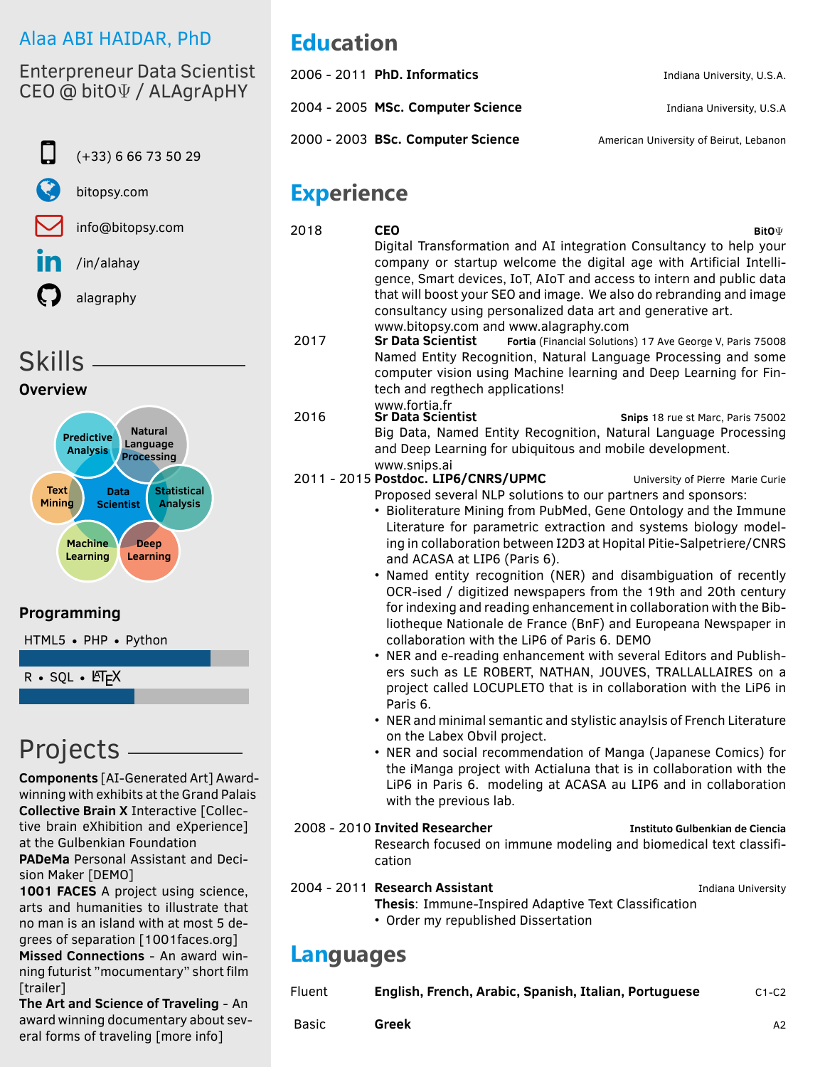### <span id="page-0-0"></span>Alaa ABI HAIDAR, PhD

Enterpreneur Data Scientist CEO @ bitOΨ / ALAgrApHY



Skills

**Overview**



#### **Programming**

HTML5 • PHP • Python

 $R \cdot SQL \cdot ETFX$ 

# Projects

**Components** [\[AI-Generated Art\]](http://ai.alagraphy.com/) Awardwinning with exhibits at the Grand Palais **Collective Brain X** Interactive [\[Collec](http://brain.alagraphy.com)[tive brain eXhibition and eXperience\]](http://brain.alagraphy.com) at the Gulbenkian Foundation **PADeMa** Personal Assistant and Decision Maker [\[DEMO\]](https://www.facebook.com/bitopsy/videos/185221625404195/)

**1001 FACES** A project using science, arts and humanities to illustrate that no man is an island with at most 5 degrees of separation [\[1001faces.org\]](www.1001faces.org) **Missed Connections** - An award winning futurist "mocumentary" short film [\[trailer\]](https://www.imdb.com/name/nm6135271/videoplayer/vi2275650329?ref_=nm_rvd_vi_1)

**The Art and Science of Traveling** - An award winning documentary about several forms of traveling [\[more info\]](http://ast.alahay.org/)

# **Education**

| 2006 - 2011 PhD. Informatics      | Indiana University, U.S.A.             |
|-----------------------------------|----------------------------------------|
| 2004 - 2005 MSc. Computer Science | Indiana University, U.S.A              |
| 2000 - 2003 BSc. Computer Science | American University of Beirut, Lebanon |

## **Experience**

| 2018             | CEO<br>BitO $\Psi$                                                                                                                                                                                                                                                                                                                                                                                                                                                                                                                                                                                                                                                                                                                                                                                                                                                                                                                                                                                                                                                                                                                                                                                                                                                                                     |
|------------------|--------------------------------------------------------------------------------------------------------------------------------------------------------------------------------------------------------------------------------------------------------------------------------------------------------------------------------------------------------------------------------------------------------------------------------------------------------------------------------------------------------------------------------------------------------------------------------------------------------------------------------------------------------------------------------------------------------------------------------------------------------------------------------------------------------------------------------------------------------------------------------------------------------------------------------------------------------------------------------------------------------------------------------------------------------------------------------------------------------------------------------------------------------------------------------------------------------------------------------------------------------------------------------------------------------|
|                  | Digital Transformation and AI integration Consultancy to help your<br>company or startup welcome the digital age with Artificial Intelli-<br>gence, Smart devices, IoT, AIoT and access to intern and public data<br>that will boost your SEO and image. We also do rebranding and image<br>consultancy using personalized data art and generative art.                                                                                                                                                                                                                                                                                                                                                                                                                                                                                                                                                                                                                                                                                                                                                                                                                                                                                                                                                |
| 2017             | www.bitopsy.com and www.alagraphy.com<br><b>Sr Data Scientist</b><br>Fortia (Financial Solutions) 17 Ave George V, Paris 75008<br>Named Entity Recognition, Natural Language Processing and some<br>computer vision using Machine learning and Deep Learning for Fin-<br>tech and regthech applications!                                                                                                                                                                                                                                                                                                                                                                                                                                                                                                                                                                                                                                                                                                                                                                                                                                                                                                                                                                                               |
| 2016             | www.fortia.fr<br><b>Sr Data Scientist</b><br>Snips 18 rue st Marc, Paris 75002<br>Big Data, Named Entity Recognition, Natural Language Processing<br>and Deep Learning for ubiquitous and mobile development.                                                                                                                                                                                                                                                                                                                                                                                                                                                                                                                                                                                                                                                                                                                                                                                                                                                                                                                                                                                                                                                                                          |
|                  | www.snips.ai<br>2011 - 2015 Postdoc. LIP6/CNRS/UPMC<br>University of Pierre Marie Curie<br>Proposed several NLP solutions to our partners and sponsors:<br>• Bioliterature Mining from PubMed, Gene Ontology and the Immune<br>Literature for parametric extraction and systems biology model-<br>ing in collaboration between I2D3 at Hopital Pitie-Salpetriere/CNRS<br>and ACASA at LIP6 (Paris 6).<br>• Named entity recognition (NER) and disambiguation of recently<br>OCR-ised / digitized newspapers from the 19th and 20th century<br>for indexing and reading enhancement in collaboration with the Bib-<br>liotheque Nationale de France (BnF) and Europeana Newspaper in<br>collaboration with the LiP6 of Paris 6. DEMO<br>• NER and e-reading enhancement with several Editors and Publish-<br>ers such as LE ROBERT, NATHAN, JOUVES, TRALLALLAIRES on a<br>project called LOCUPLETO that is in collaboration with the LiP6 in<br>Paris 6.<br>• NER and minimal semantic and stylistic anaylsis of French Literature<br>on the Labex Obvil project.<br>• NER and social recommendation of Manga (Japanese Comics) for<br>the iManga project with Actialuna that is in collaboration with the<br>LiP6 in Paris 6. modeling at ACASA au LIP6 and in collaboration<br>with the previous lab. |
|                  | 2008 - 2010 Invited Researcher<br>Instituto Gulbenkian de Ciencia<br>Research focused on immune modeling and biomedical text classifi-<br>cation                                                                                                                                                                                                                                                                                                                                                                                                                                                                                                                                                                                                                                                                                                                                                                                                                                                                                                                                                                                                                                                                                                                                                       |
|                  | 2004 - 2011 Research Assistant<br>Indiana University<br>Thesis: Immune-Inspired Adaptive Text Classification<br>• Order my republished Dissertation                                                                                                                                                                                                                                                                                                                                                                                                                                                                                                                                                                                                                                                                                                                                                                                                                                                                                                                                                                                                                                                                                                                                                    |
| <b>Languages</b> |                                                                                                                                                                                                                                                                                                                                                                                                                                                                                                                                                                                                                                                                                                                                                                                                                                                                                                                                                                                                                                                                                                                                                                                                                                                                                                        |
| Fluent           | English, French, Arabic, Spanish, Italian, Portuguese<br>$C1-C2$                                                                                                                                                                                                                                                                                                                                                                                                                                                                                                                                                                                                                                                                                                                                                                                                                                                                                                                                                                                                                                                                                                                                                                                                                                       |
| <b>Basic</b>     | <b>Greek</b><br>A2                                                                                                                                                                                                                                                                                                                                                                                                                                                                                                                                                                                                                                                                                                                                                                                                                                                                                                                                                                                                                                                                                                                                                                                                                                                                                     |